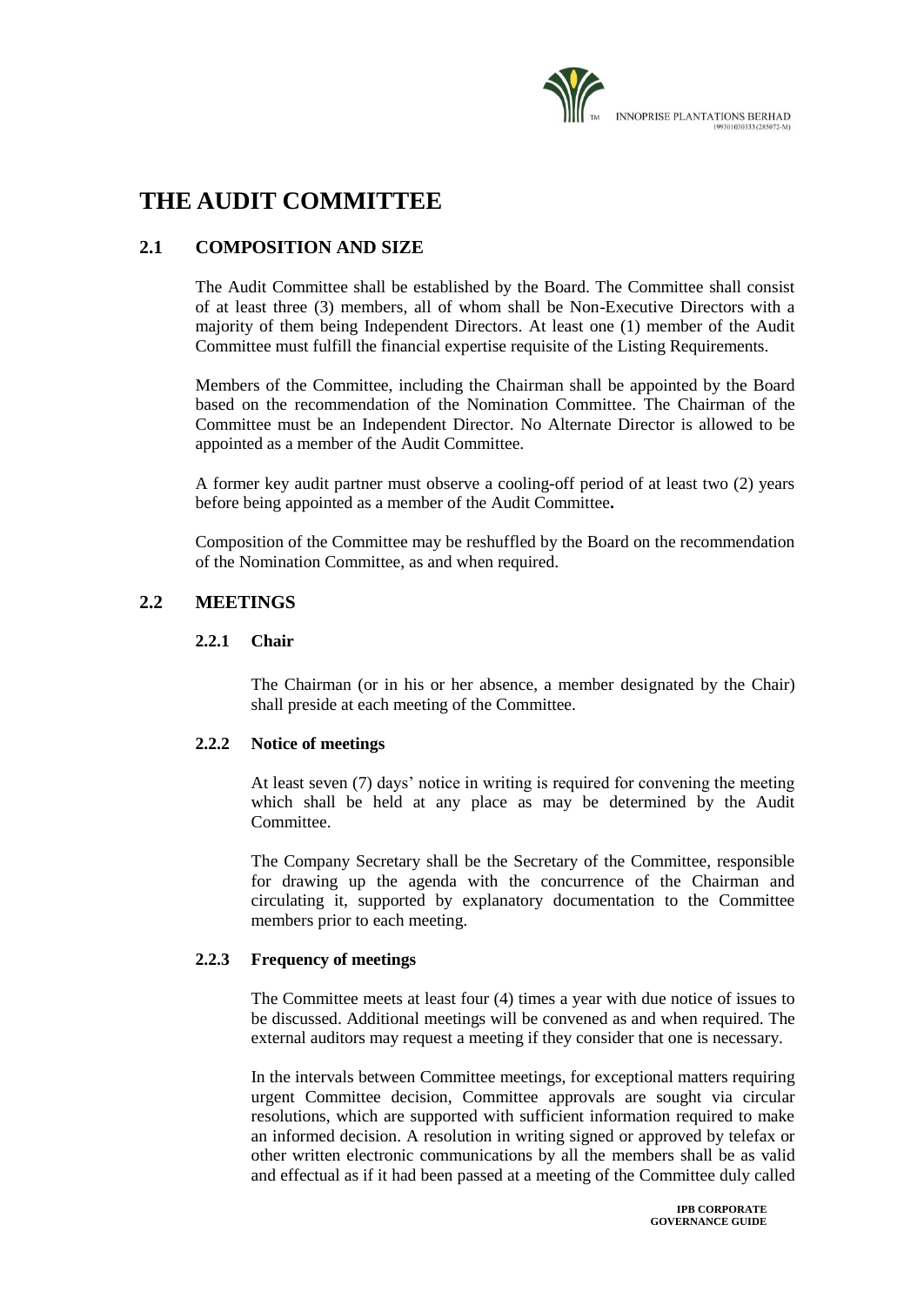

# **THE AUDIT COMMITTEE**

# **2.1 COMPOSITION AND SIZE**

The Audit Committee shall be established by the Board. The Committee shall consist of at least three (3) members, all of whom shall be Non-Executive Directors with a majority of them being Independent Directors. At least one (1) member of the Audit Committee must fulfill the financial expertise requisite of the Listing Requirements.

Members of the Committee, including the Chairman shall be appointed by the Board based on the recommendation of the Nomination Committee. The Chairman of the Committee must be an Independent Director. No Alternate Director is allowed to be appointed as a member of the Audit Committee.

A former key audit partner must observe a cooling**-**off period of at least two (2) years before being appointed as a member of the Audit Committee**.**

Composition of the Committee may be reshuffled by the Board on the recommendation of the Nomination Committee, as and when required.

# **2.2 MEETINGS**

## **2.2.1 Chair**

The Chairman (or in his or her absence, a member designated by the Chair) shall preside at each meeting of the Committee.

#### **2.2.2 Notice of meetings**

At least seven (7) days' notice in writing is required for convening the meeting which shall be held at any place as may be determined by the Audit Committee.

The Company Secretary shall be the Secretary of the Committee, responsible for drawing up the agenda with the concurrence of the Chairman and circulating it, supported by explanatory documentation to the Committee members prior to each meeting.

#### **2.2.3 Frequency of meetings**

The Committee meets at least four (4) times a year with due notice of issues to be discussed. Additional meetings will be convened as and when required. The external auditors may request a meeting if they consider that one is necessary.

In the intervals between Committee meetings, for exceptional matters requiring urgent Committee decision, Committee approvals are sought via circular resolutions, which are supported with sufficient information required to make an informed decision. A resolution in writing signed or approved by telefax or other written electronic communications by all the members shall be as valid and effectual as if it had been passed at a meeting of the Committee duly called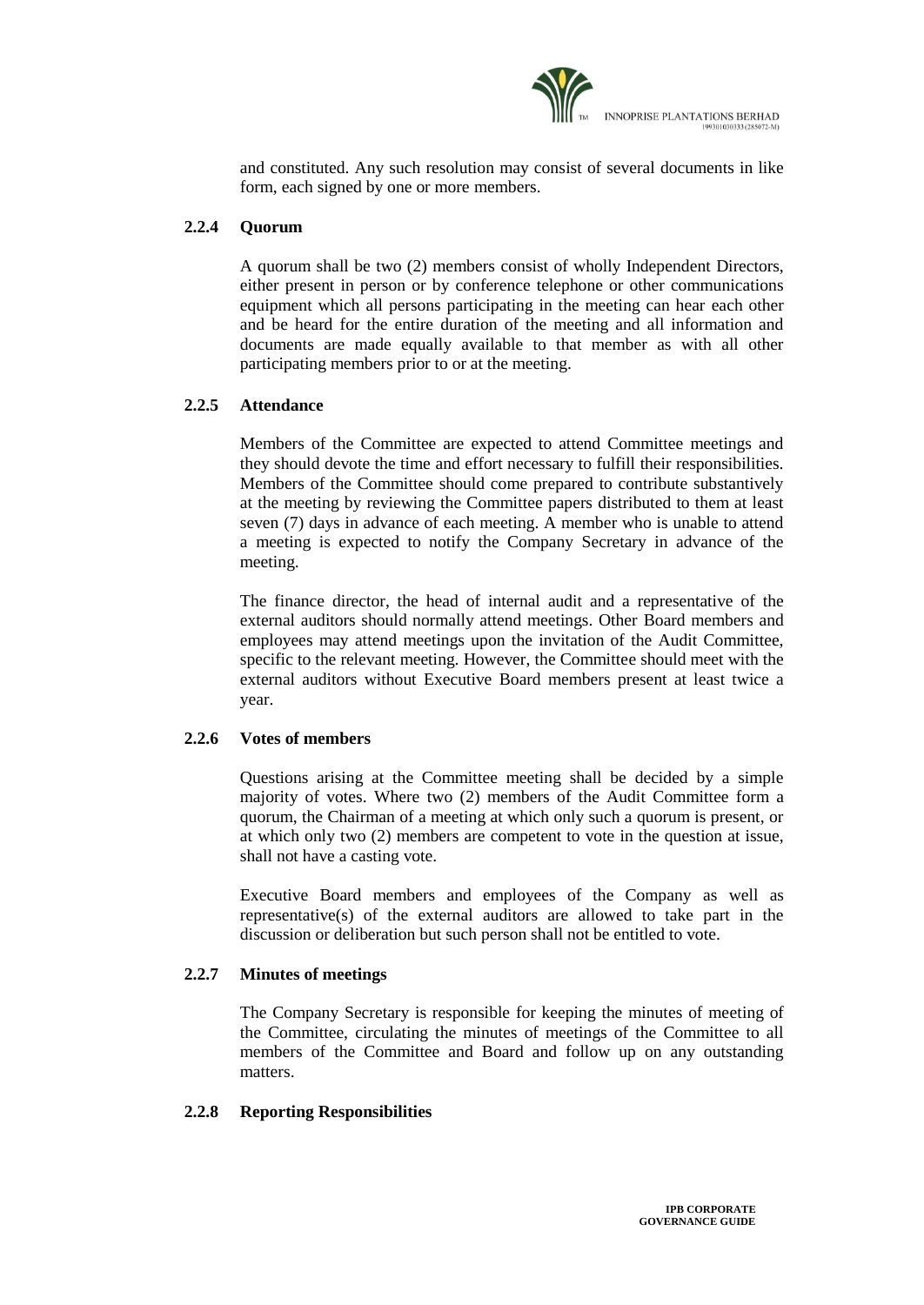

and constituted. Any such resolution may consist of several documents in like form, each signed by one or more members.

## **2.2.4 Quorum**

A quorum shall be two (2) members consist of wholly Independent Directors, either present in person or by conference telephone or other communications equipment which all persons participating in the meeting can hear each other and be heard for the entire duration of the meeting and all information and documents are made equally available to that member as with all other participating members prior to or at the meeting.

#### **2.2.5 Attendance**

Members of the Committee are expected to attend Committee meetings and they should devote the time and effort necessary to fulfill their responsibilities. Members of the Committee should come prepared to contribute substantively at the meeting by reviewing the Committee papers distributed to them at least seven (7) days in advance of each meeting. A member who is unable to attend a meeting is expected to notify the Company Secretary in advance of the meeting.

The finance director, the head of internal audit and a representative of the external auditors should normally attend meetings. Other Board members and employees may attend meetings upon the invitation of the Audit Committee, specific to the relevant meeting. However, the Committee should meet with the external auditors without Executive Board members present at least twice a year.

#### **2.2.6 Votes of members**

Questions arising at the Committee meeting shall be decided by a simple majority of votes. Where two (2) members of the Audit Committee form a quorum, the Chairman of a meeting at which only such a quorum is present, or at which only two (2) members are competent to vote in the question at issue, shall not have a casting vote.

Executive Board members and employees of the Company as well as representative(s) of the external auditors are allowed to take part in the discussion or deliberation but such person shall not be entitled to vote.

#### **2.2.7 Minutes of meetings**

The Company Secretary is responsible for keeping the minutes of meeting of the Committee, circulating the minutes of meetings of the Committee to all members of the Committee and Board and follow up on any outstanding matters.

#### **2.2.8 Reporting Responsibilities**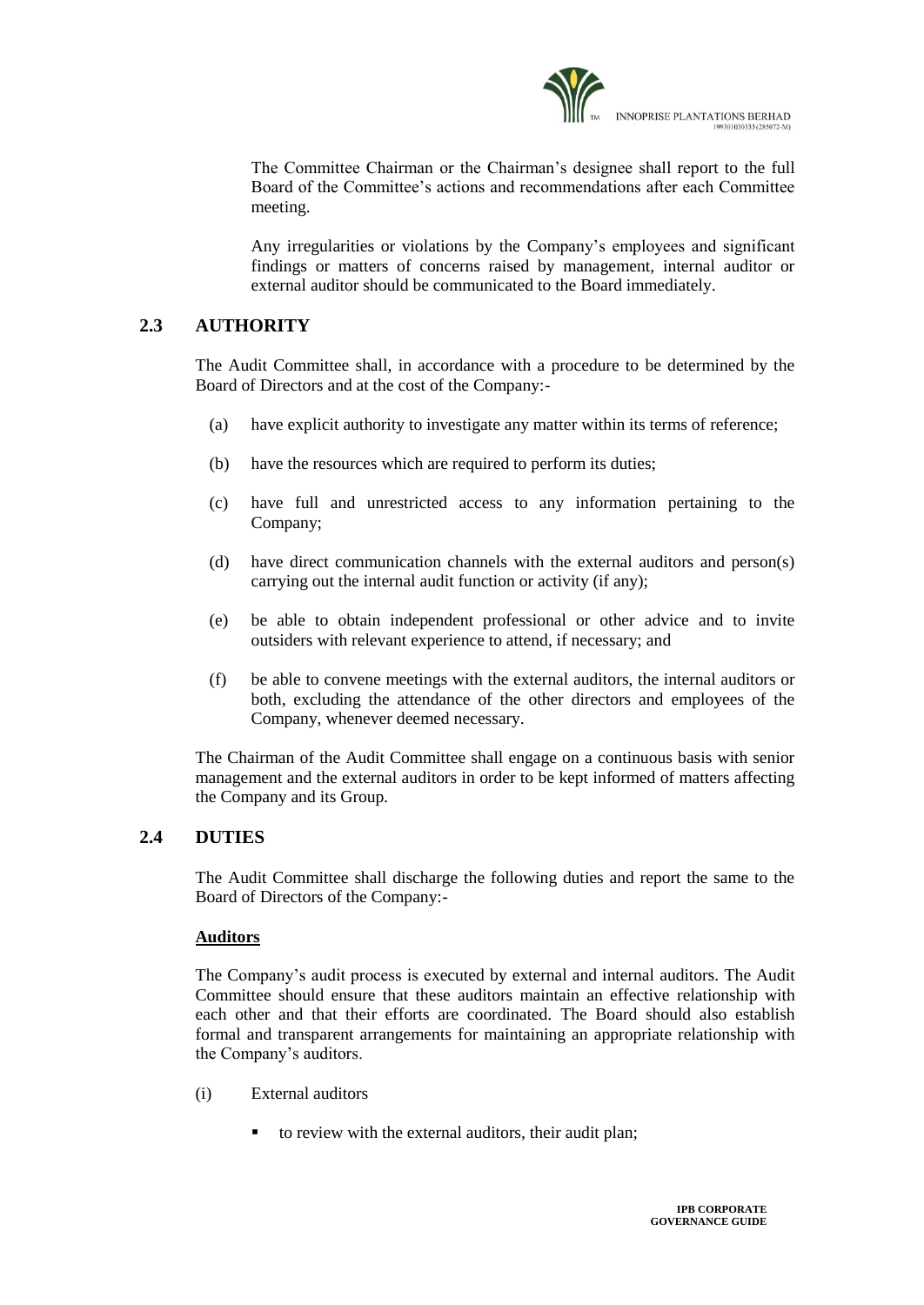

The Committee Chairman or the Chairman's designee shall report to the full Board of the Committee's actions and recommendations after each Committee meeting.

Any irregularities or violations by the Company's employees and significant findings or matters of concerns raised by management, internal auditor or external auditor should be communicated to the Board immediately.

# **2.3 AUTHORITY**

The Audit Committee shall, in accordance with a procedure to be determined by the Board of Directors and at the cost of the Company:-

- (a) have explicit authority to investigate any matter within its terms of reference;
- (b) have the resources which are required to perform its duties;
- (c) have full and unrestricted access to any information pertaining to the Company;
- (d) have direct communication channels with the external auditors and person(s) carrying out the internal audit function or activity (if any);
- (e) be able to obtain independent professional or other advice and to invite outsiders with relevant experience to attend, if necessary; and
- (f) be able to convene meetings with the external auditors, the internal auditors or both, excluding the attendance of the other directors and employees of the Company, whenever deemed necessary.

The Chairman of the Audit Committee shall engage on a continuous basis with senior management and the external auditors in order to be kept informed of matters affecting the Company and its Group.

# **2.4 DUTIES**

The Audit Committee shall discharge the following duties and report the same to the Board of Directors of the Company:-

# **Auditors**

The Company's audit process is executed by external and internal auditors. The Audit Committee should ensure that these auditors maintain an effective relationship with each other and that their efforts are coordinated. The Board should also establish formal and transparent arrangements for maintaining an appropriate relationship with the Company's auditors.

- (i) External auditors
	- to review with the external auditors, their audit plan;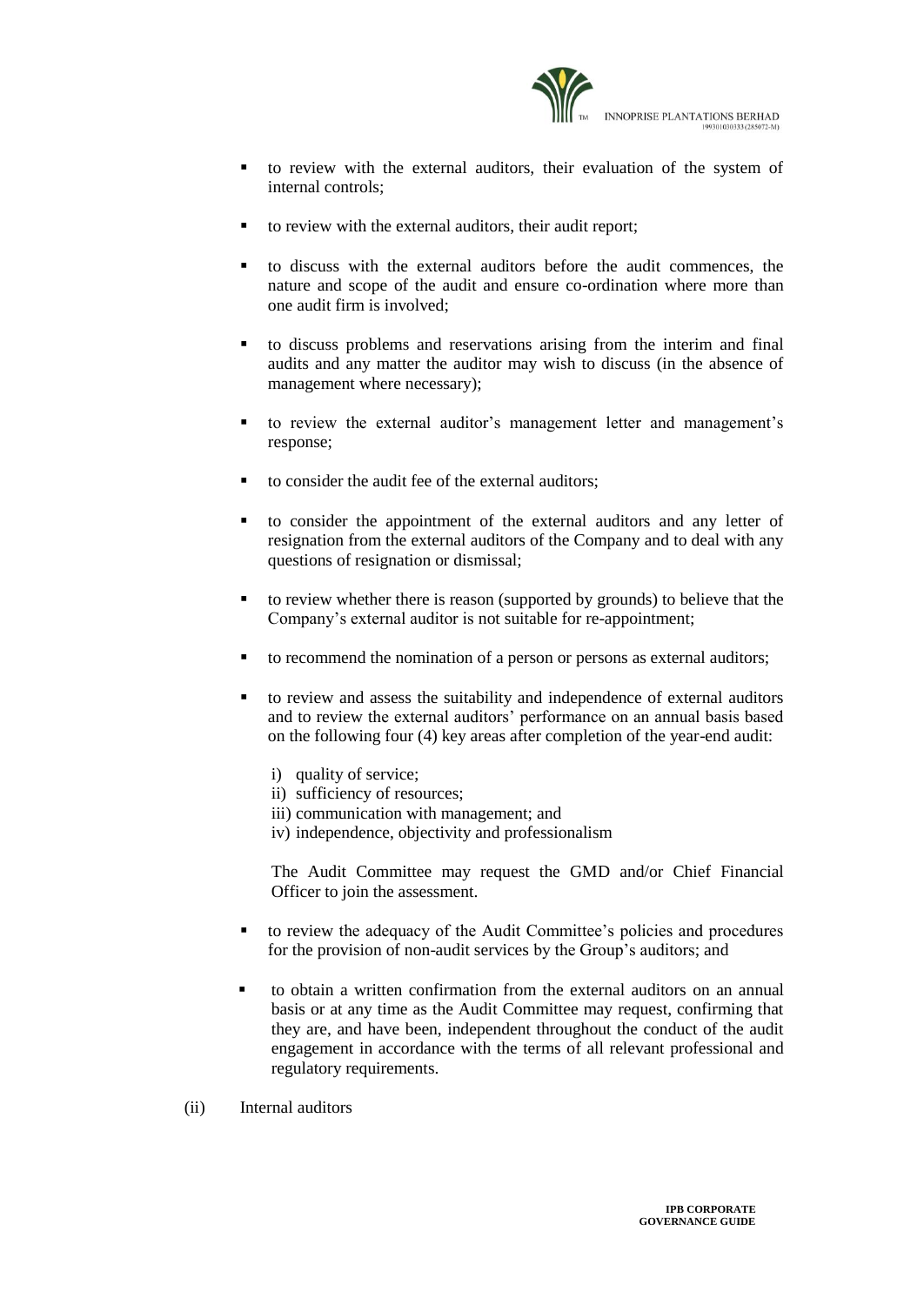

- to review with the external auditors, their evaluation of the system of internal controls;
- to review with the external auditors, their audit report;
- to discuss with the external auditors before the audit commences, the nature and scope of the audit and ensure co-ordination where more than one audit firm is involved;
- to discuss problems and reservations arising from the interim and final audits and any matter the auditor may wish to discuss (in the absence of management where necessary);
- to review the external auditor's management letter and management's response;
- to consider the audit fee of the external auditors;
- to consider the appointment of the external auditors and any letter of resignation from the external auditors of the Company and to deal with any questions of resignation or dismissal;
- to review whether there is reason (supported by grounds) to believe that the Company's external auditor is not suitable for re-appointment;
- to recommend the nomination of a person or persons as external auditors;
- to review and assess the suitability and independence of external auditors and to review the external auditors' performance on an annual basis based on the following four (4) key areas after completion of the year-end audit:
	- i) quality of service;
	- ii) sufficiency of resources;
	- iii) communication with management; and
	- iv) independence, objectivity and professionalism

The Audit Committee may request the GMD and/or Chief Financial Officer to join the assessment.

- to review the adequacy of the Audit Committee's policies and procedures for the provision of non-audit services by the Group's auditors; and
- to obtain a written confirmation from the external auditors on an annual basis or at any time as the Audit Committee may request, confirming that they are, and have been, independent throughout the conduct of the audit engagement in accordance with the terms of all relevant professional and regulatory requirements.
- (ii) Internal auditors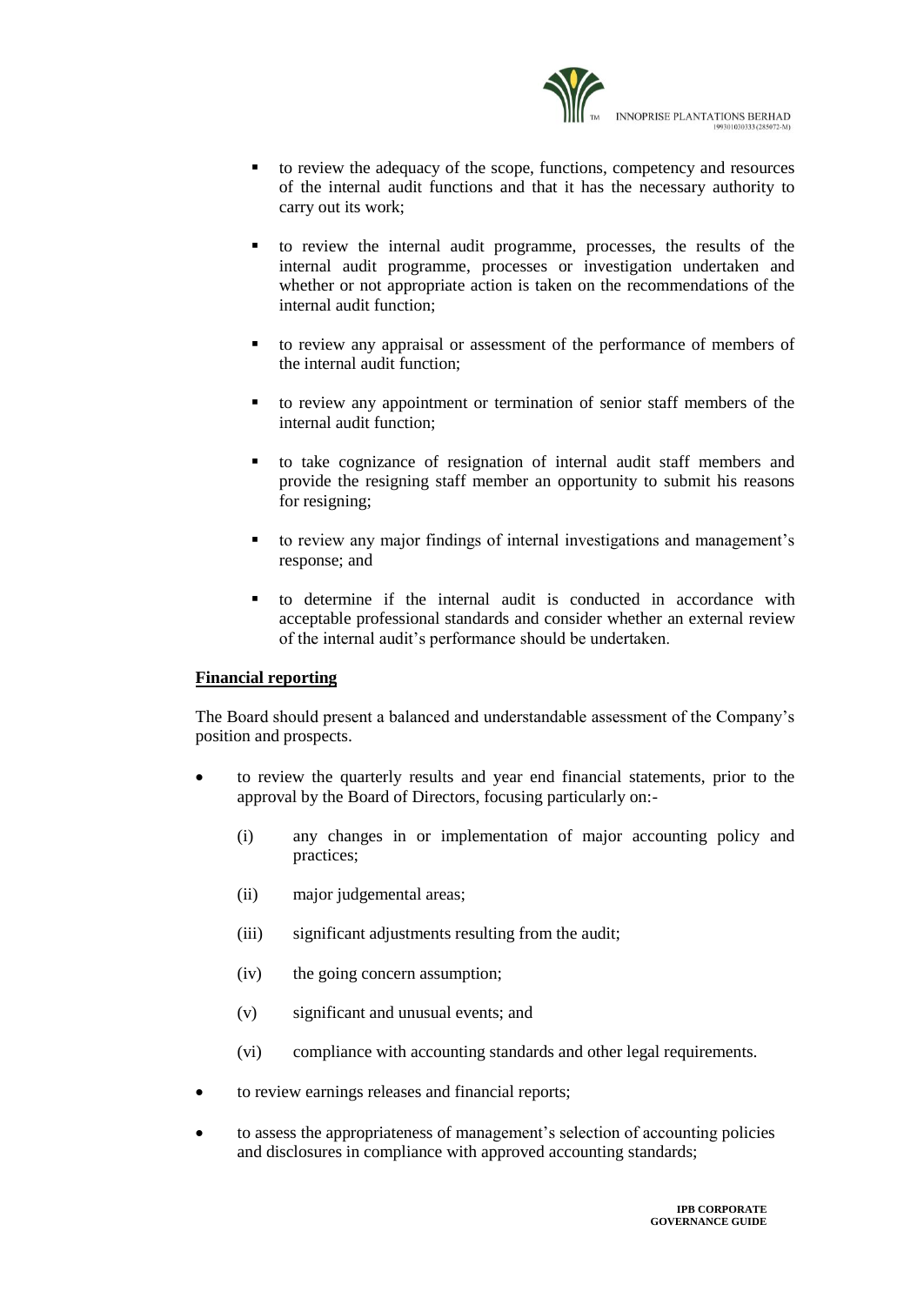

- to review the adequacy of the scope, functions, competency and resources of the internal audit functions and that it has the necessary authority to carry out its work;
- to review the internal audit programme, processes, the results of the internal audit programme, processes or investigation undertaken and whether or not appropriate action is taken on the recommendations of the internal audit function;
- to review any appraisal or assessment of the performance of members of the internal audit function;
- to review any appointment or termination of senior staff members of the internal audit function;
- to take cognizance of resignation of internal audit staff members and provide the resigning staff member an opportunity to submit his reasons for resigning;
- to review any major findings of internal investigations and management's response; and
- to determine if the internal audit is conducted in accordance with acceptable professional standards and consider whether an external review of the internal audit's performance should be undertaken.

#### **Financial reporting**

The Board should present a balanced and understandable assessment of the Company's position and prospects.

- to review the quarterly results and year end financial statements, prior to the approval by the Board of Directors, focusing particularly on:-
	- (i) any changes in or implementation of major accounting policy and practices;
	- (ii) major judgemental areas;
	- (iii) significant adjustments resulting from the audit;
	- (iv) the going concern assumption;
	- (v) significant and unusual events; and
	- (vi) compliance with accounting standards and other legal requirements.
- to review earnings releases and financial reports;
- to assess the appropriateness of management's selection of accounting policies and disclosures in compliance with approved accounting standards;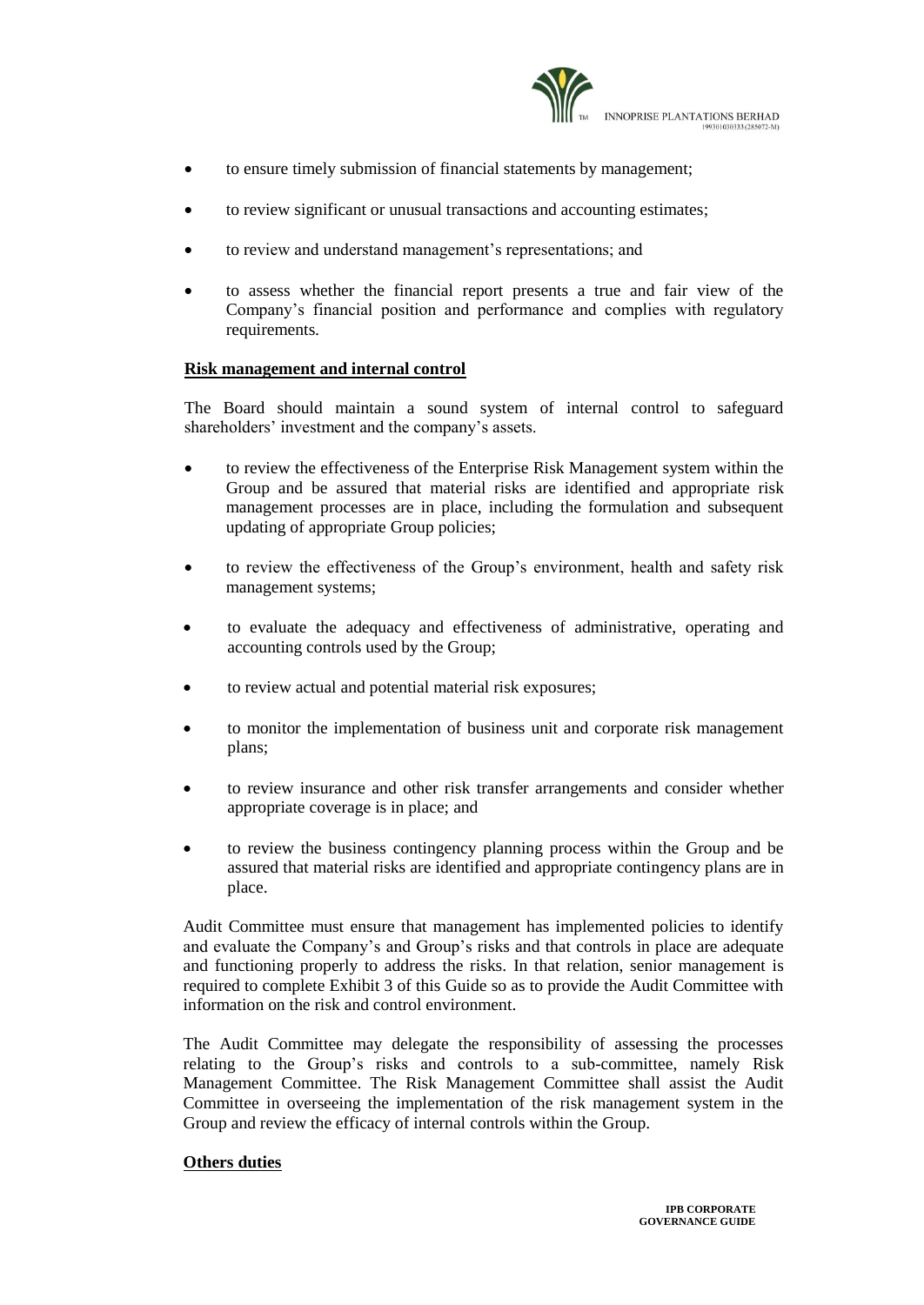

- to ensure timely submission of financial statements by management;
- to review significant or unusual transactions and accounting estimates;
- to review and understand management's representations; and
- to assess whether the financial report presents a true and fair view of the Company's financial position and performance and complies with regulatory requirements.

#### **Risk management and internal control**

The Board should maintain a sound system of internal control to safeguard shareholders' investment and the company's assets.

- to review the effectiveness of the Enterprise Risk Management system within the Group and be assured that material risks are identified and appropriate risk management processes are in place, including the formulation and subsequent updating of appropriate Group policies;
- to review the effectiveness of the Group's environment, health and safety risk management systems;
- to evaluate the adequacy and effectiveness of administrative, operating and accounting controls used by the Group;
- to review actual and potential material risk exposures;
- to monitor the implementation of business unit and corporate risk management plans;
- to review insurance and other risk transfer arrangements and consider whether appropriate coverage is in place; and
- to review the business contingency planning process within the Group and be assured that material risks are identified and appropriate contingency plans are in place.

Audit Committee must ensure that management has implemented policies to identify and evaluate the Company's and Group's risks and that controls in place are adequate and functioning properly to address the risks. In that relation, senior management is required to complete Exhibit 3 of this Guide so as to provide the Audit Committee with information on the risk and control environment.

The Audit Committee may delegate the responsibility of assessing the processes relating to the Group's risks and controls to a sub-committee, namely Risk Management Committee. The Risk Management Committee shall assist the Audit Committee in overseeing the implementation of the risk management system in the Group and review the efficacy of internal controls within the Group.

#### **Others duties**